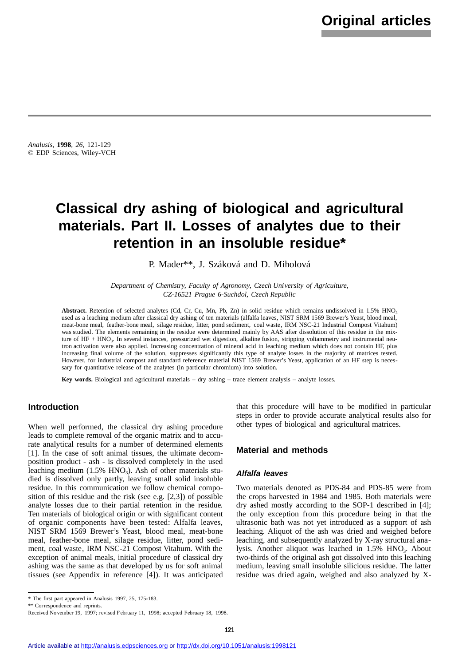*Analusis*, **1998**, *26*, 121-129 © EDP Sciences, Wiley-VCH

# **Classical dry ashing of biological and agricultural materials. Part II. Losses of analytes due to their retention in an insoluble residue\***

P. Mader\*\*, J. Száková and D. Miholová

*Department of Chemistry, Faculty of Agronomy, Czech University of Agriculture, CZ-16521 Prague 6-Suchdol, Czech Republic*

Abstract. Retention of selected analytes (Cd, Cr, Cu, Mn, Pb, Zn) in solid residue which remains undissolved in 1.5% HNO<sub>3</sub> used as a leaching medium after classical dry ashing of ten materials (alfalfa leaves, NIST SRM 1569 Brewer's Yeast, blood meal, meat-bone meal, feather-bone meal, silage residue, litter, pond sediment, coal waste, IRM NSC-21 Industrial Compost Vitahum) was studied . The elements remaining in the residue were determined mainly by AAS after dissolution of this residue in the mixture of HF + HNO<sub>3</sub>. In several instances, pressurized wet digestion, alkaline fusion, stripping voltammetry and instrumental neutron activation were also applied. Increasing concentration of mineral acid in leaching medium which does not contain HF, plus increasing final volume of the solution, suppresses significantly this type of analyte losses in the majority of matrices tested. However, for industrial compost and standard reference material NIST 1569 Brewer's Yeast, application of an HF step is necessary for quantitative release of the analytes (in particular chromium) into solution.

**Key words.** Biological and agricultural materials – dry ashing – trace element analysis – analyte losses.

## **Introduction**

When well performed, the classical dry ashing procedure leads to complete removal of the organic matrix and to accurate analytical results for a number of determined elements [1]. In the case of soft animal tissues, the ultimate decomposition product - ash - is dissolved completely in the used leaching medium  $(1.5\% \text{ HNO}_3)$ . Ash of other materials studied is dissolved only partly, leaving small solid insoluble residue. In this communication we follow chemical composition of this residue and the risk (see e.g. [2,3]) of possible analyte losses due to their partial retention in the residue. Ten materials of biological origin or with significant content of organic components have been tested: Alfalfa leaves, NIST SRM 1569 Brewer's Yeast, blood meal, meat-bone meal, feather-bone meal, silage residue, litter, pond sediment, coal waste, IRM NSC-21 Compost Vitahum. With the exception of animal meals, initial procedure of classical dry ashing was the same as that developed by us for soft animal tissues (see Appendix in reference [4]). It was anticipated

that this procedure will have to be modified in particular steps in order to provide accurate analytical results also for other types of biological and agricultural matrices.

#### **Material and methods**

#### *Alfalfa leaves*

Two materials denoted as PDS-84 and PDS-85 were from the crops harvested in 1984 and 1985. Both materials were dry ashed mostly according to the SOP-1 described in [4]; the only exception from this procedure being in that the ultrasonic bath was not yet introduced as a support of ash leaching. Aliquot of the ash was dried and weighed before leaching, and subsequently analyzed by X-ray structural analysis. Another aliquot was leached in  $1.5\%$  HNO<sub>3</sub>. About two-thirds of the original ash got dissolved into this leaching medium, leaving small insoluble silicious residue. The latter residue was dried again, weighed and also analyzed by X-

<sup>\*</sup> The first part appeared in Analusis 1997, 25, 175-183.

<sup>\*\*</sup> Correspondence and reprints.

Received November 19, 1997; r evised February 11, 1998; accepted February 18, 1998.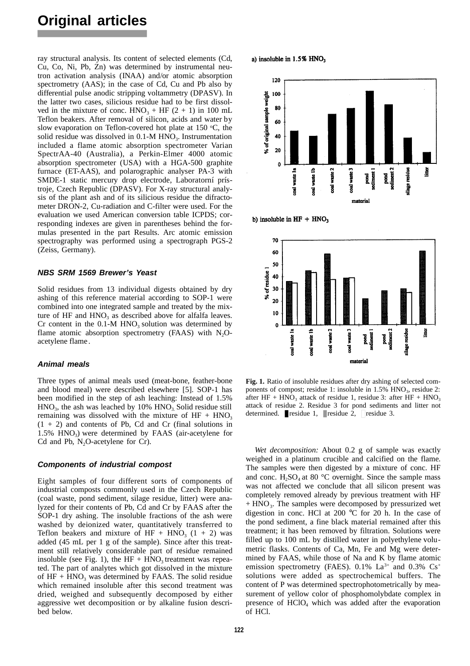ray structural analysis. Its content of selected elements (Cd, Cu, Co, Ni, Pb, Zn) was determined by instrumental neutron activation analysis (INAA) and/or atomic absorption spectrometry (AAS); in the case of Cd, Cu and Pb also by differential pulse anodic stripping voltammetry (DPASV). In the latter two cases, silicious residue had to be first dissolved in the mixture of conc.  $HNO<sub>3</sub> + HF (2 + 1)$  in 100 mL Teflon beakers. After removal of silicon, acids and water by slow evaporation on Teflon-covered hot plate at 150  $\degree$ C, the solid residue was dissolved in  $0.1-M$  HNO<sub>3</sub>. Instrumentation included a flame atomic absorption spectrometer Varian SpectrAA-40 (Australia), a Perkin-Elmer 4000 atomic absorption spectrometer (USA) with a HGA-500 graphite furnace (ET-AAS), and polarographic analyser PA-3 with SMDE-1 static mercury drop electrode, Laboratorní prístroje, Czech Republic (DPASV). For X-ray structural analysis of the plant ash and of its silicious residue the difractometer DRON-2, Cu-radiation and C-filter were used. For the evaluation we used American conversion table ICPDS; corresponding indexes are given in parentheses behind the formulas presented in the part Results. Arc atomic emission spectrography was performed using a spectrograph PGS-2 (Zeiss, Germany).

#### *NBS SRM 1569 Brewer's Yeast*

Solid residues from 13 individual digests obtained by dry ashing of this reference material according to SOP-1 were combined into one integrated sample and treated by the mixture of HF and  $HNO<sub>3</sub>$  as described above for alfalfa leaves. Cr content in the  $0.1-M$  HNO<sub>3</sub> solution was determined by flame atomic absorption spectrometry (FAAS) with  $N_2O$ acetylene flame .

#### *Animal meals*

Three types of animal meals used (meat-bone, feather-bone and blood meal) were described elsewhere [5]. SOP-1 has been modified in the step of ash leaching: Instead of 1.5%  $HNO<sub>3</sub>$ , the ash was leached by 10%  $HNO<sub>3</sub>$ . Solid residue still remaining was dissolved with the mixture of  $HF + HNO<sub>3</sub>$  $(1 + 2)$  and contents of Pb, Cd and Cr (final solutions in 1.5% HNO<sub>3</sub>) were determined by FAAS (air-acetylene for Cd and Pb,  $N_2O$ -acetylene for Cr).

## *Components of industrial compost*

Eight samples of four different sorts of components of industrial composts commonly used in the Czech Republic (coal waste, pond sediment, silage residue, litter) were analyzed for their contents of Pb, Cd and Cr by FAAS after the SOP-1 dry ashing. The insoluble fractions of the ash were washed by deionized water, quantitatively transferred to Te flon beakers and mixture of  $HF + HNO<sub>3</sub>$  (1 + 2) was added (45 mL per 1 g of the sample). Since after this treatment still relatively considerable part of residue remained insoluble (see Fig. 1), the  $HF + HNO<sub>3</sub>$  treatment was repeated. The part of analytes which got dissolved in the mixture of  $HF + HNO<sub>3</sub>$  was determined by FAAS. The solid residue which remained insoluble after this second treatment was dried, weighed and subsequently decomposed by either aggressive wet decomposition or by alkaline fusion described below.

a) insoluble in  $1.5\%$  HNO<sub>3</sub>



b) insoluble in  $HF + HNO<sub>3</sub>$ 



**Fig. 1.** Ratio of insoluble residues after dry ashing of selected components of compost; residue 1: insoluble in 1.5% HNO<sub>3</sub>, residue 2: after HF + HNO<sub>3</sub> attack of residue 1, residue 3: after HF + HNO<sub>3</sub> attack of residue 2. Residue 3 for pond sediments and litter not determined.  $\blacksquare$  residue 1,  $\blacksquare$  residue 2,  $\Box$  residue 3.

*Wet decomposition:* About 0.2 g of sample was exactly weighed in a platinum crucible and calcified on the flame. The samples were then digested by a mixture of conc. HF and conc.  $H_2SO_4$  at 80 °C overnight. Since the sample mass was not affected we conclude that all silicon present was completely removed already by previous treatment with HF + HNO<sub>3</sub>. The samples were decomposed by pressurized wet digestion in conc. HCl at 200 °C for 20 h. In the case of the pond sediment, a fine black material remained after this treatment; it has been removed by filtration. Solutions were filled up to 100 mL by distilled water in polyethylene volumetric flasks. Contents of Ca, Mn, Fe and Mg were determined by FAAS, while those of Na and K by flame atomic emission spectrometry (FAES). 0.1% La<sup>3+</sup> and 0.3% Cs<sup>+</sup> solutions were added as spectrochemical buffers. The content of P was determined spectrophotometrically by measurement of yellow color of phosphomolybdate complex in presence of  $HClO<sub>4</sub>$  which was added after the evaporation of HCl.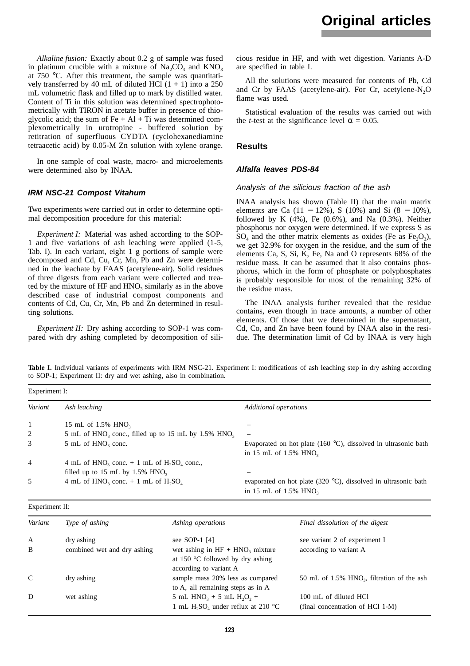*Alkaline fusion:* Exactly about 0.2 g of sample was fused in platinum crucible with a mixture of  $Na_2CO_3$  and  $KNO_3$ at 750 °C. After this treatment, the sample was quantitatively transferred by 40 mL of diluted HCl  $(1 + 1)$  into a 250 mL volumetric flask and filled up to mark by distilled water. Content of Ti in this solution was determined spectrophotometrically with TIRON in acetate buffer in presence of thioglycolic acid; the sum of  $Fe + Al + Ti$  was determined complexometrically in urotropine - buffered solution by retitration of superfluous CYDTA (cyclohexanediamine tetraacetic acid) by 0.05-M Zn solution with xylene orange.

In one sample of coal waste, macro- and microelements were determined also by INAA.

#### *IRM NSC-21 Compost Vitahum*

Two experiments were carried out in order to determine optimal decomposition procedure for this material:

*Experiment I:* Material was ashed according to the SOP-1 and five variations of ash leaching were applied  $(1-5, 1)$ Tab. I). In each variant, eight 1 g portions of sample were decomposed and Cd, Cu, Cr, Mn, Pb and Zn were determined in the leachate by FAAS (acetylene-air). Solid residues of three digests from each variant were collected and treated by the mixture of  $HF$  and  $HNO<sub>3</sub>$  similarly as in the above described case of industrial compost components and contents of Cd, Cu, Cr, Mn, Pb and Zn determined in resulting solutions.

*Experiment II:* Drv ashing according to SOP-1 was compared with dry ashing completed by decomposition of silicious residue in HF, and with wet digestion. Variants A-D are specified in table I.

All the solutions were measured for contents of Pb, Cd and Cr by FAAS (acetylene-air). For Cr, acetylene- $N<sub>2</sub>O$ flame was used.

Statistical evaluation of the results was carried out with the *t*-test at the significance level  $= 0.05$ .

#### **Results**

#### *Alfalfa leaves PDS-84*

#### *Analysis of the silicious fraction of the ash*

INAA analysis has shown (Table II) that the main matrix elements are Ca  $(11 - 12\%)$ , S  $(10\%)$  and Si  $(8 - 10\%)$ , followed by K  $(4\%)$ , Fe  $(0.6\%)$ , and Na  $(0.3\%)$ . Neither phosphorus nor oxygen were determined. If we express S as  $SO_4$  and the other matrix elements as oxides (Fe as Fe<sub>2</sub>O<sub>3</sub>), we get 32.9% for oxygen in the residue, and the sum of the elements Ca, S, Si, K, Fe, Na and O represents 68% of the residue mass. It can be assumed that it also contains phosphorus, which in the form of phosphate or polyphosphates is probably responsible for most of the remaining 32% of the residue mass.

The INAA analysis further revealed that the residue contains, even though in trace amounts, a number of other elements. Of those that we determined in the supernatant, Cd, Co, and Zn have been found by INAA also in the residue. The determination limit of Cd by INAA is very high

**Table I.** Individual variants of experiments with IRM NSC-21. Experiment I: modifications of ash leaching step in dry ashing according to SOP-1; Experiment II: dry and wet ashing, also in combination.

| Experiment I:  |                                                                                  |                                                                |  |  |
|----------------|----------------------------------------------------------------------------------|----------------------------------------------------------------|--|--|
| Variant        | Ash leaching                                                                     | Additional operations                                          |  |  |
| -1             | 15 mL of $1.5\%$ HNO <sub>3</sub>                                                |                                                                |  |  |
| 2              | 5 mL of $HNO_3$ conc., filled up to 15 mL by 1.5% $HNO_3$                        | $\overline{\phantom{m}}$                                       |  |  |
| 3              | 5 mL of HNO <sub>3</sub> conc.                                                   | Evaporated on hot plate (160 °C), dissolved in ultrasonic bath |  |  |
|                |                                                                                  | in 15 mL of $1.5\%$ HNO <sub>3</sub>                           |  |  |
| $\overline{4}$ | 4 mL of HNO <sub>3</sub> conc. $+$ 1 mL of H <sub>2</sub> SO <sub>4</sub> conc., |                                                                |  |  |
|                | filled up to 15 mL by 1.5% $HNO3$                                                |                                                                |  |  |
| 5              | 4 mL of HNO <sub>3</sub> conc. $+$ 1 mL of H <sub>2</sub> SO <sub>4</sub>        | evaporated on hot plate (320 °C), dissolved in ultrasonic bath |  |  |
|                |                                                                                  | in 15 mL of $1.5\%$ HNO <sub>3</sub>                           |  |  |

| Experiment II: |  |
|----------------|--|
|                |  |

| Variant      | Type of ashing              | Ashing operations                                                                                        | Final dissolution of the digest                           |
|--------------|-----------------------------|----------------------------------------------------------------------------------------------------------|-----------------------------------------------------------|
| $\mathbf{A}$ | dry ashing                  | see SOP-1 $[4]$                                                                                          | see variant 2 of experiment I                             |
| B            | combined wet and dry ashing | wet ashing in $HF + HNO3$ mixture<br>at 150 $\degree$ C followed by dry ashing<br>according to variant A | according to variant A                                    |
| $\mathbf C$  | dry ashing                  | sample mass 20% less as compared<br>to A, all remaining steps as in A                                    | 50 mL of $1.5\%$ HNO <sub>2</sub> , filtration of the ash |
| D            | wet ashing                  | 5 mL $HNO3 + 5$ mL $H2O2 +$                                                                              | 100 mL of diluted HCl                                     |
|              |                             | 1 mL H <sub>2</sub> SO <sub>4</sub> under reflux at 210 °C                                               | (final concentration of HCl 1-M)                          |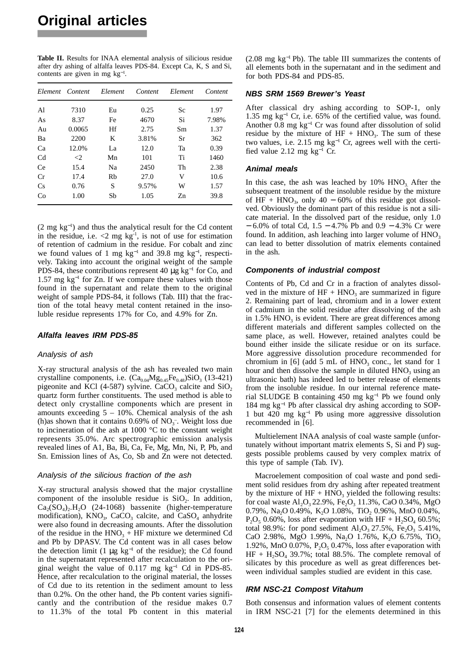**Table II.** Results for INAA elemental analysis of silicious residue after dry ashing of alfalfa leaves PDS-84. Except Ca, K, S and Si, contents are given in mg kg<sup>−</sup><sup>1</sup> .

|                | Element Content | Element | Content | Element | Content |
|----------------|-----------------|---------|---------|---------|---------|
| Al             | 7310            | Eu      | 0.25    | Sc      | 1.97    |
|                |                 |         |         |         |         |
| As             | 8.37            | Fe      | 4670    | Si      | 7.98%   |
| Au             | 0.0065          | Hf      | 2.75    | Sm      | 1.37    |
| Ba             | 2200            | K       | 3.81%   | Sr      | 362     |
| Ca             | 12.0%           | La      | 12.0    | Ta      | 0.39    |
| C <sub>d</sub> | $\leq$ 2        | Mn      | 101     | Ti      | 1460    |
| Ce             | 15.4            | Na      | 2450    | Th      | 2.38    |
| Cr             | 17.4            | Rh      | 27.0    | V       | 10.6    |
| Cs             | 0.76            | S       | 9.57%   | W       | 1.57    |
| Co             | 1.00            | Sb      | 1.05    | Zn      | 39.8    |

(2 mg kg<sup>−</sup><sup>1</sup> ) and thus the analytical result for the Cd content in the residue, i.e.  $\lt 2$  mg kg<sup>-1</sup>, is not of use for estimation of retention of cadmium in the residue. For cobalt and zinc we found values of 1 mg kg<sup>-1</sup> and 39.8 mg kg<sup>-1</sup>, respectively. Taking into account the original weight of the sample PDS-84, these contributions represent 40  $\mu$ g kg<sup>-1</sup> for Co, and 1.57 mg kg<sup>-1</sup> for Zn. If we compare these values with those found in the supernatant and relate them to the original weight of sample PDS-84, it follows (Tab. III) that the fraction of the total heavy metal content retained in the insoluble residue represents 17% for Co, and 4.9% for Zn.

#### *Alfalfa leaves IRM PDS-85*

#### *Analysis of ash*

X-ray structural analysis of the ash has revealed two main crystalline components, i.e.  $(Ca_{0.04}Mg_{0.45}Fe_{0.48})SiO_3$  (13-421) pigeonite and KCl (4-587) sylvine. CaCO<sub>3</sub> calcite and  $SiO<sub>2</sub>$ quartz form further constituents. The used method is able to detect only crystalline components which are present in amounts exceeding  $5 - 10\%$ . Chemical analysis of the ash (h)as shown that it contains  $0.69\%$  of NO<sub>3</sub><sup>-</sup>. Weight loss due to incineration of the ash at 1000 °C to the constant weight represents 35.0%. Arc spectrographic emission analysis revealed lines of A1, Ba, Bi, Ca, Fe, Mg, Mn, Ni, P, Pb, and Sn. Emission lines of As, Co, Sb and Zn were not detected.

#### *Analysis of the silicious fraction of the ash*

X-ray structural analysis showed that the major crystalline component of the insoluble residue is  $SiO<sub>2</sub>$ . In addition,  $Ca<sub>2</sub>(SO<sub>4</sub>)<sub>2</sub>$ .H<sub>2</sub>O (24-1068) bassenite (higher-temperature modification),  $KNO_3$ , CaCO<sub>3</sub> calcite, and CaSO<sub>4</sub> anhydrite were also found in decreasing amounts. After the dissolution of the residue in the  $HNO<sub>3</sub> + HF$  mixture we determined Cd and Pb by DPASV. The Cd content was in all cases below the detection limit (1  $\mu$ g kg<sup>-1</sup> of the residue); the Cd found in the supernatant represented after recalculation to the original weight the value of  $0.117$  mg kg<sup>-1</sup> Cd in PDS-85. Hence, after recalculation to the original material, the losses of Cd due to its retention in the sediment amount to less than 0.2%. On the other hand, the Pb content varies significantly and the contribution of the residue makes 0.7 to  $11.3\%$  of the total Pb content in this material (2.08 mg kg<sup>−</sup><sup>1</sup> Pb). The table III summarizes the contents of all elements both in the supernatant and in the sediment and for both PDS-84 and PDS-85.

#### *NBS SRM 1569 Brewer's Yeast*

After classical dry ashing according to SOP-1, only 1.35 mg kg<sup>−</sup><sup>1</sup> Cr, i.e. 65% of the certified value, was found. Another 0.8 mg kg<sup>−</sup><sup>1</sup> Cr was found after dissolution of solid residue by the mixture of  $HF + HNO<sub>3</sub>$ . The sum of these two values, i.e. 2.15 mg kg<sup>−</sup><sup>1</sup> Cr, agrees well with the certified value 2.12 mg kg $^{-1}$  Cr.

#### *Animal meals*

In this case, the ash was leached by  $10\%$  HNO<sub>3</sub>. After the subsequent treatment of the insoluble residue by the mixture of  $HF + HNO<sub>3</sub>$ , only 40 – 60% of this residue got dissolved. Obviously the dominant part of this residue is not a silicate material. In the dissolved part of the residue, only 1.0 − 6.0% of total Cd, 1.5 − 4.7% Pb and 0.9 − 4.3% Cr were found. In addition, ash leaching into larger volume of  $HNO<sub>3</sub>$ can lead to better dissolution of matrix elements contained in the ash.

#### *Components of industrial compost*

Contents of Pb, Cd and Cr in a fraction of analytes dissolved in the mixture of  $HF + HNO<sub>3</sub>$  are summarized in figure 2. Remaining part of lead, chromium and in a lower extent of cadmium in the solid residue after dissolving of the ash in  $1.5\%$  HNO<sub>3</sub> is evident. There are great differences among different materials and different samples collected on the same place, as well. However, retained analytes could be bound either inside the silicate residue or on its surface. More aggressive dissolution procedure recommended for chromium in  $[6]$  (add 5 mL of HNO<sub>3</sub> conc., let stand for 1 hour and then dissolve the sample in diluted  $HNO<sub>2</sub>$  using an ultrasonic bath) has indeed led to better release of elements from the insoluble residue. In our internal reference material SLUDGE B containing 450 mg kg<sup>−</sup><sup>1</sup> Pb we found only 184 mg kg<sup>−</sup><sup>1</sup> Pb after classical dry ashing according to SOP-1 but  $420$  mg kg<sup>-1</sup> Pb using more aggressive dissolution recommended in [6].

Multielement INAA analysis of coal waste sample (unfortunately without important matrix elements S, Si and P) suggests possible problems caused by very complex matrix of this type of sample (Tab. IV).

Macroelement composition of coal waste and pond sediment solid residues from dry ashing after repeated treatment by the mixture of  $HF + HNO<sub>3</sub>$  yielded the following results: for coal waste  $Al_2O_3 22.9$ %,  $Fe_2O_3 11.3$ %, CaO 0.34%, MgO 0.79%, Na<sub>2</sub>O 0.49%, K<sub>2</sub>O 1.08%, TiO<sub>2</sub> 0.96%, MnO 0.04%,  $P_2O_5$ , 0.60%, loss after evaporation with HF + H<sub>2</sub>SO<sub>4</sub> 60.5%; total 98.9%: for pond sediment  $Al_2O_3 27.5%$ , Fe<sub>2</sub>O<sub>3</sub> 5.41%, CaO 2.98%, MgO 1.99%, Na<sub>2</sub>O 1.76%, K<sub>2</sub>O 6.75%, TiO<sub>2</sub> 1.92%, MnO  $0.07\%$ ,  $P_2O_5$ , 0.47%, loss after evaporation with  $HF + H<sub>2</sub>SO<sub>4</sub>$  39.7%; total 88.5%. The complete removal of silicates by this procedure as well as great differences between individual samples studied are evident in this case.

#### *IRM NSC-21 Compost Vitahum*

Both consensus and information values of element contents in IRM NSC-21 [7] for the elements determined in this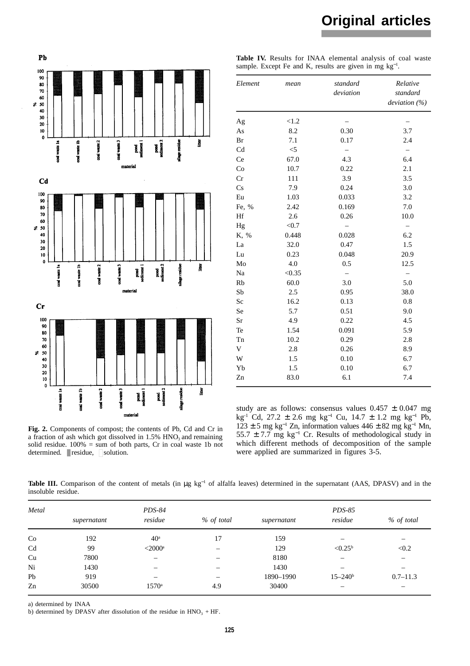



Table IV. Results for INAA elemental analysis of coal waste sample. Except Fe and K, results are given in mg  $kg^{-1}$ .

| Element | standard<br>mean<br>deviation |                   | Relative<br>standard<br>deviation $(\%)$ |  |
|---------|-------------------------------|-------------------|------------------------------------------|--|
| Ag      | < 1.2                         |                   |                                          |  |
| As      | 8.2                           | 0.30              | 3.7                                      |  |
| Br      | 7.1                           | 0.17              | 2.4                                      |  |
| Cd      | $<$ 5                         |                   |                                          |  |
| Ce      | 67.0                          | 4.3               | 6.4                                      |  |
| Co      | 10.7                          | 0.22              | 2.1                                      |  |
| Cr      | 111                           | 3.9               | 3.5                                      |  |
| Cs      | 7.9                           | 0.24              | 3.0                                      |  |
| Eu      | 1.03                          | 0.033             | 3.2                                      |  |
| Fe, %   | 2.42                          | 0.169             | 7.0                                      |  |
| Hf      | 2.6                           | 0.26              | 10.0                                     |  |
| Hg      | < 0.7                         | $\qquad \qquad -$ | $\equiv$                                 |  |
| K, %    | 0.448                         | 0.028             | 6.2                                      |  |
| La      | 32.0                          | 0.47              | 1.5                                      |  |
| Lu      | 0.23                          | 0.048             | 20.9                                     |  |
| Mo      | 4.0                           | 0.5               | 12.5                                     |  |
| Na      | < 0.35                        |                   | $\qquad \qquad -$                        |  |
| Rb      | 60.0                          | 3.0               | 5.0                                      |  |
| Sb      | 2.5                           | 0.95              | 38.0                                     |  |
| Sc      | 16.2                          | 0.13              | $0.8\,$                                  |  |
| Se      | 5.7                           | 0.51              | 9.0                                      |  |
| Sr      | 4.9                           | 0.22              | 4.5                                      |  |
| Te      | 1.54                          | 0.091             | 5.9                                      |  |
| Tn      | 10.2                          | 0.29              | 2.8                                      |  |
| V       | 2.8                           | 0.26              | 8.9                                      |  |
| W       | 1.5                           | 0.10              | 6.7                                      |  |
| Yb      | 1.5                           | 0.10              | 6.7                                      |  |
| Zn      | 83.0                          | 6.1               | 7.4                                      |  |

**Fig. 2.** Components of compost; the contents of Pb, Cd and Cr in a fraction of ash which got dissolved in  $1.5\%$  HNO<sub>3</sub> and remaining solid residue. 100% = sum of both parts, Cr in coal waste 1b not determined.  $\blacksquare$  residue,  $\Box$  solution.

study are as follows: consensus values  $0.457 \pm 0.047$  mg kg-1 Cd, 27.2 ± 2.6 mg kg<sup>−</sup><sup>1</sup> Cu, 14.7 ± 1.2 mg kg<sup>−</sup><sup>1</sup> Pb,  $123 \pm 5$  mg kg<sup>-1</sup> Zn, information values 446 ± 82 mg kg<sup>-1</sup> Mn, 55.7 ± 7.7 mg kg<sup>-1</sup> Cr. Results of methodological study in which different methods of decomposition of the sample were applied are summarized in figures 3-5.

Table III. Comparison of the content of metals (in μg kg<sup>−1</sup> of alfalfa leaves) determined in the supernatant (AAS, DPASV) and in the insoluble residue.

| Metal |             | PDS-84                |            |             | PDS-85                   |                                |  |
|-------|-------------|-----------------------|------------|-------------|--------------------------|--------------------------------|--|
|       | supernatant | residue               | % of total | supernatant | residue                  | % of total                     |  |
| Co    | 192         | 40 <sup>a</sup>       | 17         | 159         |                          | $\qquad \qquad \longleftarrow$ |  |
| Cd    | 99          | $<$ 2000 <sup>a</sup> |            | 129         | $< 0.25^{\rm b}$         | < 0.2                          |  |
| Cu    | 7800        | -                     |            | 8180        | $\overline{\phantom{m}}$ | $\qquad \qquad -$              |  |
| Ni    | 1430        |                       |            | 1430        | —                        | $\overline{\phantom{m}}$       |  |
| Pb    | 919         |                       |            | 1890-1990   | $15 - 240^{\circ}$       | $0.7 - 11.3$                   |  |
| Zn    | 30500       | $1570^{\circ}$        | 4.9        | 30400       | $\overline{\phantom{0}}$ | $\overline{\phantom{m}}$       |  |

a) determined by INAA

b) determined by DPASV after dissolution of the residue in  $HNO<sub>3</sub> + HF$ .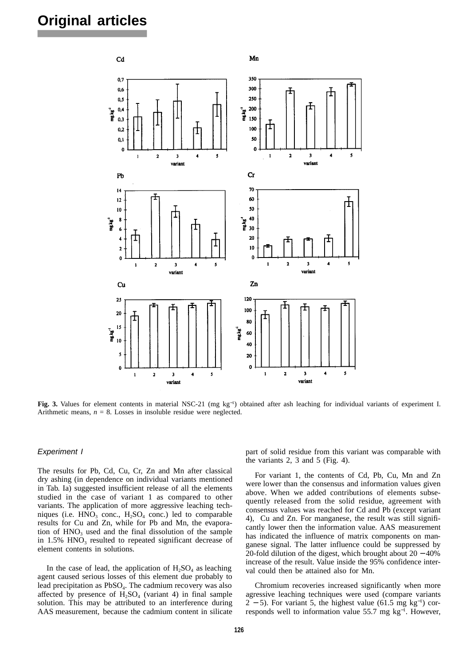

**Fig. 3.** Values for element contents in material NSC-21 (mg kg<sup>−</sup><sup>1</sup> ) obtained after ash leaching for individual variants of experiment I. Arithmetic means,  $n = 8$ . Losses in insoluble residue were neglected.

#### *Experiment I*

The results for Pb, Cd, Cu, Cr, Zn and Mn after classical dry ashing (in dependence on individual variants mentioned in Tab. Ia) suggested insufficient release of all the elements studied in the case of variant 1 as compared to other variants. The application of more aggressive leaching techniques (i.e.  $HNO<sub>3</sub>$  conc.,  $H<sub>2</sub>SO<sub>4</sub>$  conc.) led to comparable results for Cu and Zn, while for Pb and Mn, the evaporation of  $HNO<sub>3</sub>$  used and the final dissolution of the sample in  $1.5\%$  HNO<sub>3</sub> resulted to repeated significant decrease of element contents in solutions.

In the case of lead, the application of  $H_3SO_4$  as leaching agent caused serious losses of this element due probably to lead precipitation as PbSO<sub>4</sub>. The cadmium recovery was also affected by presence of  $H_2SO_4$  (variant 4) in final sample solution. This may be attributed to an interference during AAS measurement, because the cadmium content in silicate part of solid residue from this variant was comparable with the variants 2, 3 and 5 (Fig. 4).

For variant 1, the contents of Cd, Pb, Cu, Mn and Zn were lower than the consensus and information values given above. When we added contributions of elements subsequently released from the solid residue, agreement with consensus values was reached for Cd and Pb (except variant 4), Cu and Zn. For manganese, the result was still significantly lower then the information value. AAS measurement has indicated the influence of matrix components on manganese signal. The latter influence could be suppressed by 20-fold dilution of the digest, which brought about 20 − 40% increase of the result. Value inside the 95% confidence interval could then be attained also for Mn.

Chromium recoveries increased significantly when more agressive leaching techniques were used (compare variants 2 – 5). For variant 5, the highest value (61.5 mg kg<sup>-1</sup>) corresponds well to information value 55.7 mg kg<sup>-1</sup>. However,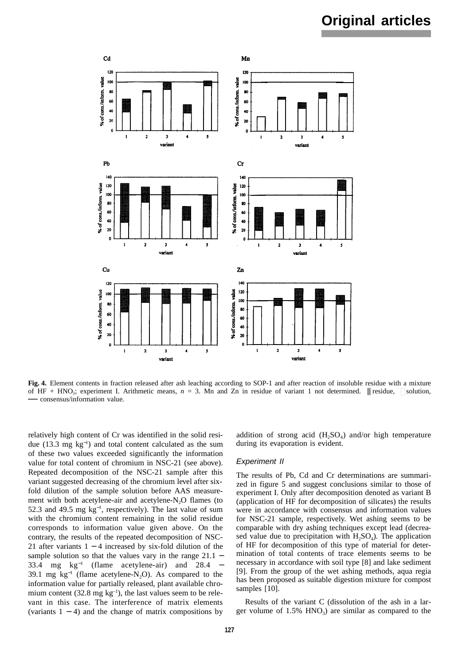

**Fig. 4.** Element contents in fraction released after ash leaching according to SOP-1 and after reaction of insoluble residue with a mixture of HF + HNO<sub>3</sub>; experiment I. Arithmetic means,  $n = 3$ . Mn and Zn in residue of variant 1 not determined.  $\blacksquare$  residue,  $\Box$  solution, **—** consensus/information value.

relatively high content of Cr was identified in the solid residue (13.3 mg kg<sup>−</sup><sup>1</sup> ) and total content calculated as the sum of these two values exceeded significantly the information value for total content of chromium in NSC-21 (see above). Repeated decomposition of the NSC-21 sample after this variant suggested decreasing of the chromium level after sixfold dilution of the sample solution before AAS measurement with both acetylene-air and acetylene-N<sub>2</sub>O flames (to 52.3 and 49.5 mg  $kg^{-1}$ , respectively). The last value of sum with the chromium content remaining in the solid residue corresponds to information value given above. On the contrary, the results of the repeated decomposition of NSC-21 after variants 1 − 4 increased by six-fold dilution of the sample solution so that the values vary in the range 21.1 – 33.4 mg kg<sup>−</sup><sup>1</sup> ( flame acetylene-air) and 28.4 − 39.1 mg  $kg^{-1}$  (flame acetylene-N<sub>2</sub>O). As compared to the information value for partially released, plant available chromium content (32.8 mg  $kg^{-1}$ ), the last values seem to be relevant in this case. The interference of matrix elements (variants 1 − 4) and the change of matrix compositions by

addition of strong acid  $(H_2SO_4)$  and/or high temperature during its evaporation is evident.

#### *Experiment II*

The results of Pb, Cd and Cr determinations are summarized in figure 5 and suggest conclusions similar to those of experiment I. Only after decomposition denoted as variant B (application of HF for decomposition of silicates) the results were in accordance with consensus and information values for NSC-21 sample, respectively. Wet ashing seems to be comparable with dry ashing techniques except lead (decreased value due to precipitation with  $H_2SO_4$ ). The application of HF for decomposition of this type of material for determination of total contents of trace elements seems to be necessary in accordance with soil type [8] and lake sediment [9]. From the group of the wet ashing methods, aqua regia has been proposed as suitable digestion mixture for compost samples [10].

Results of the variant C (dissolution of the ash in a larger volume of  $1.5\%$  HNO<sub>3</sub>) are similar as compared to the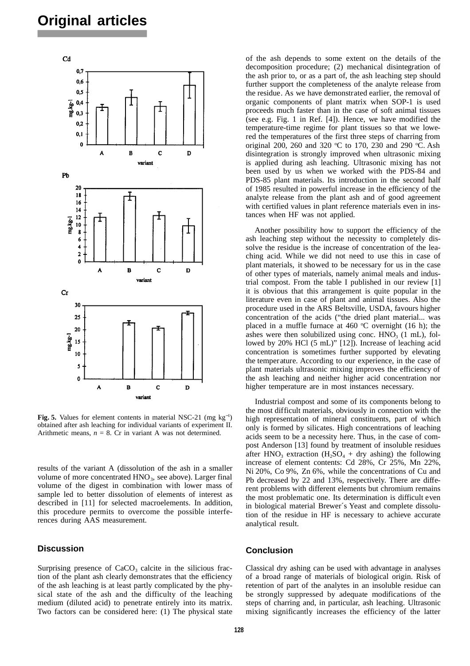

**Fig. 5.** Values for element contents in material NSC-21 (mg kg<sup>−</sup><sup>1</sup> ) obtained after ash leaching for individual variants of experiment II. Arithmetic means,  $n = 8$ . Cr in variant A was not determined.

results of the variant A (dissolution of the ash in a smaller volume of more concentrated HNO<sub>3</sub>, see above). Larger final volume of the digest in combination with lower mass of sample led to better dissolution of elements of interest as described in [11] for selected macroelements. In addition, this procedure permits to overcome the possible interferences during AAS measurement.

## **Discussion**

Surprising presence of  $CaCO<sub>3</sub>$  calcite in the silicious fraction of the plant ash clearly demonstrates that the efficiency of the ash leaching is at least partly complicated by the physical state of the ash and the difficulty of the leaching medium (diluted acid) to penetrate entirely into its matrix. Two factors can be considered here: (1) The physical state

of the ash depends to some extent on the details of the decomposition procedure; (2) mechanical disintegration of the ash prior to, or as a part of, the ash leaching step should further support the completeness of the analyte release from the residue. As we have demonstrated earlier, the removal of organic components of plant matrix when SOP-1 is used proceeds much faster than in the case of soft animal tissues (see e.g. Fig. 1 in Ref. [4]). Hence, we have modified the temperature-time regime for plant tissues so that we lowered the temperatures of the first three steps of charring from original 200, 260 and 320 °C to 170, 230 and 290 °C. Ash disintegration is strongly improved when ultrasonic mixing is applied during ash leaching. Ultrasonic mixing has not been used by us when we worked with the PDS-84 and PDS-85 plant materials. Its introduction in the second half of 1985 resulted in powerful increase in the efficiency of the analyte release from the plant ash and of good agreement with certified values in plant reference materials even in instances when HF was not applied.

Another possibility how to support the efficiency of the ash leaching step without the necessity to completely dissolve the residue is the increase of concentration of the leaching acid. While we did not need to use this in case of plant materials, it showed to be necessary for us in the case of other types of materials, namely animal meals and industrial compost. From the table I published in our review [1] it is obvious that this arrangement is quite popular in the literature even in case of plant and animal tissues. Also the procedure used in the ARS Beltsville, USDA, favours higher concentration of the acids ("the dried plant material... was placed in a muffle furnace at 460  $\degree$ C overnight (16 h); the ashes were then solubilized using conc.  $HNO<sub>3</sub>$  (1 mL), followed by 20% HCl (5 mL)" [12]). Increase of leaching acid concentration is sometimes further supported by elevating the temperature. According to our experience, in the case of plant materials ultrasonic mixing improves the efficiency of the ash leaching and neither higher acid concentration nor higher temperature are in most instances necessary.

Industrial compost and some of its components belong to the most difficult materials, obviously in connection with the high representation of mineral constituents, part of which only is formed by silicates. High concentrations of leaching acids seem to be a necessity here. Thus, in the case of compost Anderson [13] found by treatment of insoluble residues after HNO<sub>3</sub> extraction (H<sub>2</sub>SO<sub>4</sub> + dry ashing) the following increase of element contents: Cd 28%, Cr 25%, Mn 22%, Ni 20%, Co 9%, Zn 6%, while the concentrations of Cu and Pb decreased by 22 and 13%, respectively. There are different problems with different elements but chromium remains the most problematic one. Its determination is difficult even in biological material Brewer´s Yeast and complete dissolution of the residue in HF is necessary to achieve accurate analytical result.

#### **Conclusion**

Classical dry ashing can be used with advantage in analyses of a broad range of materials of biological origin. Risk of retention of part of the analytes in an insoluble residue can be strongly suppressed by adequate modifications of the steps of charring and, in particular, ash leaching. Ultrasonic mixing significantly increases the efficiency of the latter